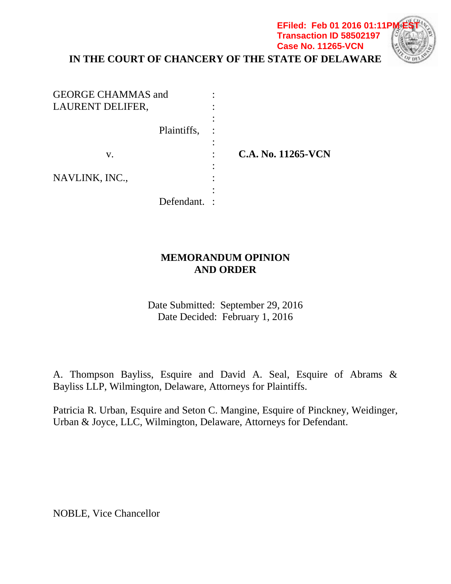**IN THE COURT OF CHANCERY OF THE STATE OF DELAWARE Case No. 11265-VCN**

**EFiled: Feb 01 2016 01:11P Transaction ID 58502197**

| <b>GEORGE CHAMMAS and</b><br>LAURENT DELIFER, |   |                    |
|-----------------------------------------------|---|--------------------|
| Plaintiffs,                                   |   |                    |
| V.                                            | ٠ | C.A. No. 11265-VCN |
| NAVLINK, INC.,                                |   |                    |
| Defendant.                                    |   |                    |

## **MEMORANDUM OPINION AND ORDER**

Date Submitted: September 29, 2016 Date Decided: February 1, 2016

A. Thompson Bayliss, Esquire and David A. Seal, Esquire of Abrams & Bayliss LLP, Wilmington, Delaware, Attorneys for Plaintiffs.

Patricia R. Urban, Esquire and Seton C. Mangine, Esquire of Pinckney, Weidinger, Urban & Joyce, LLC, Wilmington, Delaware, Attorneys for Defendant.

NOBLE, Vice Chancellor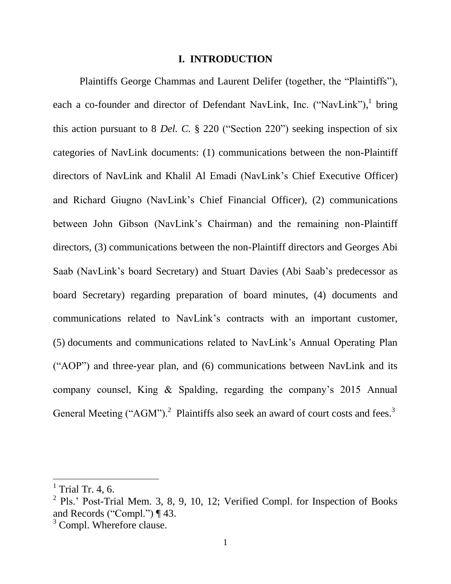#### **I. INTRODUCTION**

Plaintiffs George Chammas and Laurent Delifer (together, the "Plaintiffs"), each a co-founder and director of Defendant NavLink, Inc. ("NavLink"), bring this action pursuant to 8 *Del. C.* § 220 ("Section 220") seeking inspection of six categories of NavLink documents: (1) communications between the non-Plaintiff directors of NavLink and Khalil Al Emadi (NavLink's Chief Executive Officer) and Richard Giugno (NavLink's Chief Financial Officer), (2) communications between John Gibson (NavLink's Chairman) and the remaining non-Plaintiff directors, (3) communications between the non-Plaintiff directors and Georges Abi Saab (NavLink's board Secretary) and Stuart Davies (Abi Saab's predecessor as board Secretary) regarding preparation of board minutes, (4) documents and communications related to NavLink's contracts with an important customer, (5) documents and communications related to NavLink's Annual Operating Plan ("AOP") and three-year plan, and (6) communications between NavLink and its company counsel, King & Spalding, regarding the company's 2015 Annual General Meeting ("AGM").<sup>2</sup> Plaintiffs also seek an award of court costs and fees.<sup>3</sup>

 $<sup>1</sup>$  Trial Tr. 4, 6.</sup>

<sup>&</sup>lt;sup>2</sup> Pls.' Post-Trial Mem. 3, 8, 9, 10, 12; Verified Compl. for Inspection of Books and Records ("Compl.") ¶ 43.

<sup>&</sup>lt;sup>3</sup> Compl. Wherefore clause.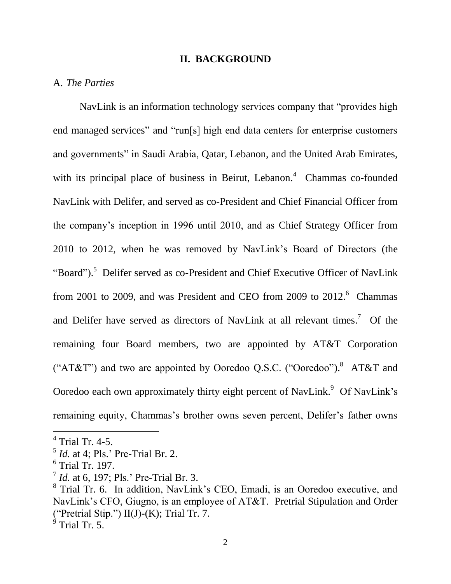#### **II. BACKGROUND**

## A. *The Parties*

NavLink is an information technology services company that "provides high end managed services" and "run[s] high end data centers for enterprise customers and governments" in Saudi Arabia, Qatar, Lebanon, and the United Arab Emirates, with its principal place of business in Beirut, Lebanon. $4$  Chammas co-founded NavLink with Delifer, and served as co-President and Chief Financial Officer from the company's inception in 1996 until 2010, and as Chief Strategy Officer from 2010 to 2012, when he was removed by NavLink's Board of Directors (the "Board").<sup>5</sup> Delifer served as co-President and Chief Executive Officer of NavLink from 2001 to 2009, and was President and CEO from 2009 to  $2012.^6$  Chammas and Delifer have served as directors of NavLink at all relevant times.<sup>7</sup> Of the remaining four Board members, two are appointed by AT&T Corporation ("AT&T") and two are appointed by Ooredoo Q.S.C. ("Ooredoo").<sup>8</sup> AT&T and Ooredoo each own approximately thirty eight percent of NavLink.<sup>9</sup> Of NavLink's remaining equity, Chammas's brother owns seven percent, Delifer's father owns

<sup>4</sup> Trial Tr. 4-5.

<sup>5</sup> *Id.* at 4; Pls.' Pre-Trial Br. 2.

<sup>6</sup> Trial Tr. 197.

<sup>7</sup> *Id.* at 6, 197; Pls.' Pre-Trial Br. 3.

<sup>&</sup>lt;sup>8</sup> Trial Tr. 6. In addition, NavLink's CEO, Emadi, is an Ooredoo executive, and NavLink's CFO, Giugno, is an employee of AT&T. Pretrial Stipulation and Order ("Pretrial Stip.")  $II(J)-(K)$ ; Trial Tr. 7.

 $9^9$  Trial Tr. 5.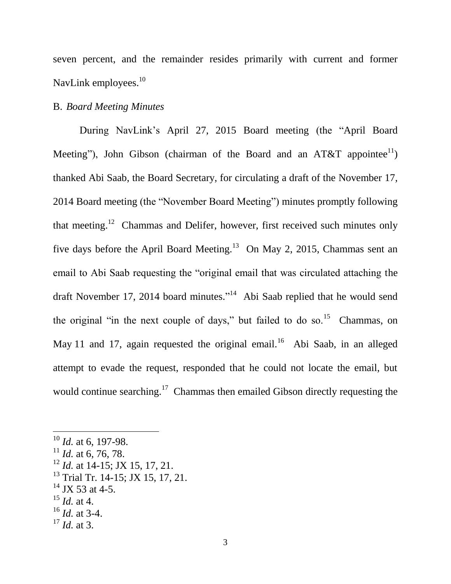seven percent, and the remainder resides primarily with current and former NavLink employees.<sup>10</sup>

### B. *Board Meeting Minutes*

During NavLink's April 27, 2015 Board meeting (the "April Board Meeting"), John Gibson (chairman of the Board and an AT&T appointee<sup>11</sup>) thanked Abi Saab, the Board Secretary, for circulating a draft of the November 17, 2014 Board meeting (the "November Board Meeting") minutes promptly following that meeting.<sup>12</sup> Chammas and Delifer, however, first received such minutes only five days before the April Board Meeting.<sup>13</sup> On May 2, 2015, Chammas sent an email to Abi Saab requesting the "original email that was circulated attaching the draft November 17, 2014 board minutes."<sup>14</sup> Abi Saab replied that he would send the original "in the next couple of days," but failed to do so.<sup>15</sup> Chammas, on May 11 and 17, again requested the original email.<sup>16</sup> Abi Saab, in an alleged attempt to evade the request, responded that he could not locate the email, but would continue searching.<sup>17</sup> Chammas then emailed Gibson directly requesting the

- $13$  Trial Tr. 14-15; JX 15, 17, 21.
- $^{14}$  JX 53 at 4-5.
- $^{15}$  *Id.* at 4.

- $^{16}$  *Id.* at 3-4.
- $17$  *Id.* at 3.

<sup>10</sup> *Id.* at 6, 197-98.

 $11$  *Id.* at 6, 76, 78.

<sup>&</sup>lt;sup>12</sup> *Id.* at 14-15; JX 15, 17, 21.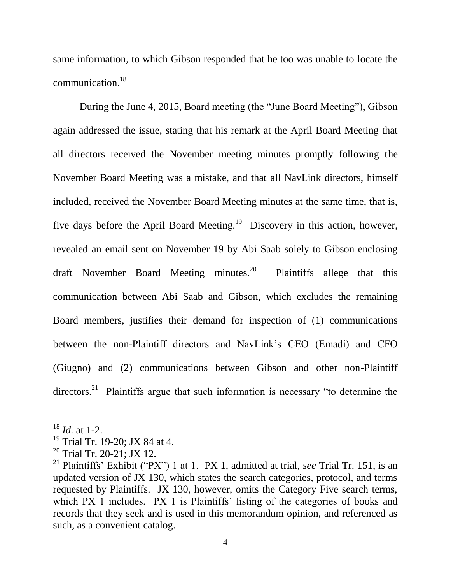same information, to which Gibson responded that he too was unable to locate the communication. 18

During the June 4, 2015, Board meeting (the "June Board Meeting"), Gibson again addressed the issue, stating that his remark at the April Board Meeting that all directors received the November meeting minutes promptly following the November Board Meeting was a mistake, and that all NavLink directors, himself included, received the November Board Meeting minutes at the same time, that is, five days before the April Board Meeting.<sup>19</sup> Discovery in this action, however, revealed an email sent on November 19 by Abi Saab solely to Gibson enclosing draft November Board Meeting minutes.<sup>20</sup> Plaintiffs allege that this communication between Abi Saab and Gibson, which excludes the remaining Board members, justifies their demand for inspection of (1) communications between the non-Plaintiff directors and NavLink's CEO (Emadi) and CFO (Giugno) and (2) communications between Gibson and other non-Plaintiff directors.<sup>21</sup> Plaintiffs argue that such information is necessary "to determine the

<sup>18</sup> *Id.* at 1-2.

<sup>&</sup>lt;sup>19</sup> Trial Tr. 19-20; JX 84 at 4.

<sup>&</sup>lt;sup>20</sup> Trial Tr. 20-21; JX 12.

<sup>21</sup> Plaintiffs' Exhibit ("PX") 1 at 1. PX 1, admitted at trial, *see* Trial Tr. 151, is an updated version of JX 130, which states the search categories, protocol, and terms requested by Plaintiffs. JX 130, however, omits the Category Five search terms, which PX 1 includes. PX 1 is Plaintiffs' listing of the categories of books and records that they seek and is used in this memorandum opinion, and referenced as such, as a convenient catalog.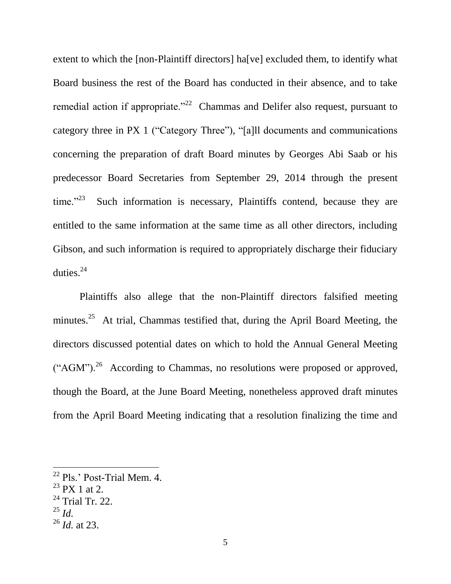extent to which the [non-Plaintiff directors] ha[ve] excluded them, to identify what Board business the rest of the Board has conducted in their absence, and to take remedial action if appropriate.<sup> $22$ </sup> Chammas and Delifer also request, pursuant to category three in PX 1 ("Category Three"), "[a]ll documents and communications concerning the preparation of draft Board minutes by Georges Abi Saab or his predecessor Board Secretaries from September 29, 2014 through the present time." $^{23}$  Such information is necessary, Plaintiffs contend, because they are entitled to the same information at the same time as all other directors, including Gibson, and such information is required to appropriately discharge their fiduciary duties. $24$ 

Plaintiffs also allege that the non-Plaintiff directors falsified meeting minutes.<sup>25</sup> At trial, Chammas testified that, during the April Board Meeting, the directors discussed potential dates on which to hold the Annual General Meeting  $("AGM")$ .<sup>26</sup> According to Chammas, no resolutions were proposed or approved, though the Board, at the June Board Meeting, nonetheless approved draft minutes from the April Board Meeting indicating that a resolution finalizing the time and

 $^{25}$  *Id.* 

<sup>&</sup>lt;sup>22</sup> Pls.' Post-Trial Mem. 4.

 $23$  PX 1 at 2.

 $^{24}$  Trial Tr. 22.

<sup>26</sup> *Id.* at 23.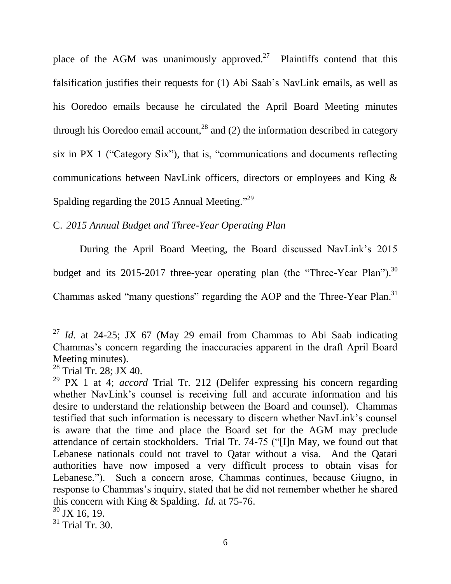place of the AGM was unanimously approved.<sup>27</sup> Plaintiffs contend that this falsification justifies their requests for (1) Abi Saab's NavLink emails, as well as his Ooredoo emails because he circulated the April Board Meeting minutes through his Ooredoo email account,<sup>28</sup> and (2) the information described in category six in PX 1 ("Category Six"), that is, "communications and documents reflecting communications between NavLink officers, directors or employees and King & Spalding regarding the 2015 Annual Meeting."<sup>29</sup>

C. *2015 Annual Budget and Three-Year Operating Plan*

During the April Board Meeting, the Board discussed NavLink's 2015 budget and its 2015-2017 three-year operating plan (the "Three-Year Plan").<sup>30</sup> Chammas asked "many questions" regarding the AOP and the Three-Year Plan.<sup>31</sup>

<sup>&</sup>lt;sup>27</sup> *Id.* at 24-25; JX 67 (May 29 email from Chammas to Abi Saab indicating Chammas's concern regarding the inaccuracies apparent in the draft April Board Meeting minutes).

<sup>&</sup>lt;sup>28</sup> Trial Tr. 28; JX 40.

<sup>29</sup> PX 1 at 4; *accord* Trial Tr. 212 (Delifer expressing his concern regarding whether NavLink's counsel is receiving full and accurate information and his desire to understand the relationship between the Board and counsel). Chammas testified that such information is necessary to discern whether NavLink's counsel is aware that the time and place the Board set for the AGM may preclude attendance of certain stockholders. Trial Tr. 74-75 ("[I]n May, we found out that Lebanese nationals could not travel to Qatar without a visa. And the Qatari authorities have now imposed a very difficult process to obtain visas for Lebanese."). Such a concern arose, Chammas continues, because Giugno, in response to Chammas's inquiry, stated that he did not remember whether he shared this concern with King & Spalding. *Id.* at 75-76.  $30$  JX 16, 19.

 $31$  Trial Tr. 30.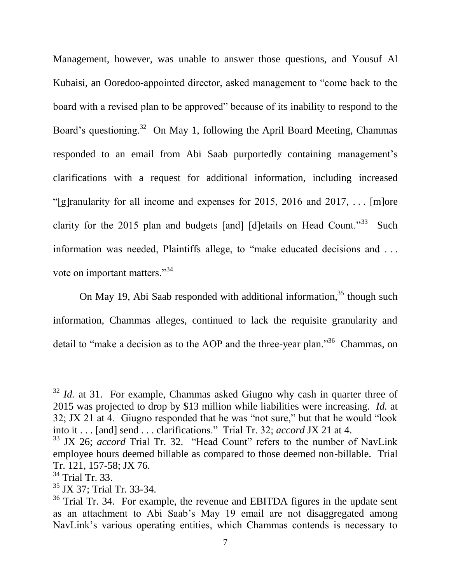Management, however, was unable to answer those questions, and Yousuf Al Kubaisi, an Ooredoo-appointed director, asked management to "come back to the board with a revised plan to be approved" because of its inability to respond to the Board's questioning.<sup>32</sup> On May 1, following the April Board Meeting, Chammas responded to an email from Abi Saab purportedly containing management's clarifications with a request for additional information, including increased "[g]ranularity for all income and expenses for 2015, 2016 and 2017, ... [m]ore clarity for the 2015 plan and budgets [and] [d]etails on Head Count."<sup>33</sup> Such information was needed, Plaintiffs allege, to "make educated decisions and . . . vote on important matters."<sup>34</sup>

On May 19, Abi Saab responded with additional information,  $35$  though such information, Chammas alleges, continued to lack the requisite granularity and detail to "make a decision as to the AOP and the three-year plan."<sup>36</sup> Chammas, on

 $32$  *Id.* at 31. For example, Chammas asked Giugno why cash in quarter three of 2015 was projected to drop by \$13 million while liabilities were increasing. *Id.* at 32; JX 21 at 4. Giugno responded that he was "not sure," but that he would "look into it . . . [and] send . . . clarifications." Trial Tr. 32; *accord* JX 21 at 4.

<sup>&</sup>lt;sup>33</sup> JX 26; *accord* Trial Tr. 32. "Head Count" refers to the number of NavLink employee hours deemed billable as compared to those deemed non-billable. Trial Tr. 121, 157-58; JX 76.

<sup>&</sup>lt;sup>34</sup> Trial Tr. 33.

<sup>&</sup>lt;sup>35</sup> JX 37; Trial Tr. 33-34.

 $36$  Trial Tr. 34. For example, the revenue and EBITDA figures in the update sent as an attachment to Abi Saab's May 19 email are not disaggregated among NavLink's various operating entities, which Chammas contends is necessary to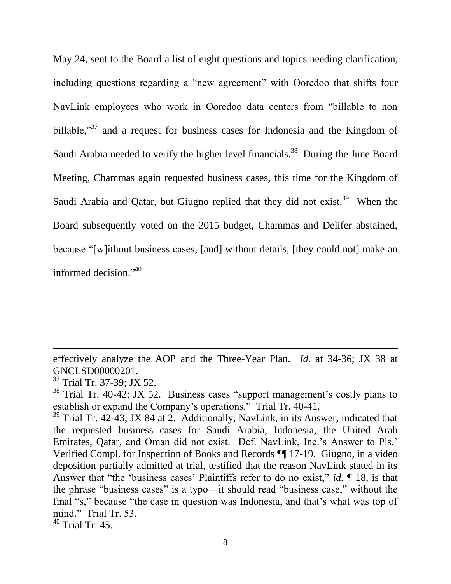May 24, sent to the Board a list of eight questions and topics needing clarification, including questions regarding a "new agreement" with Ooredoo that shifts four NavLink employees who work in Ooredoo data centers from "billable to non billable,<sup>37</sup> and a request for business cases for Indonesia and the Kingdom of Saudi Arabia needed to verify the higher level financials.<sup>38</sup> During the June Board Meeting, Chammas again requested business cases, this time for the Kingdom of Saudi Arabia and Qatar, but Giugno replied that they did not exist.<sup>39</sup> When the Board subsequently voted on the 2015 budget, Chammas and Delifer abstained, because "[w]ithout business cases, [and] without details, [they could not] make an informed decision $^{3,40}$ 

effectively analyze the AOP and the Three-Year Plan. *Id.* at 34-36; JX 38 at GNCLSD00000201.

<sup>&</sup>lt;sup>37</sup> Trial Tr. 37-39; JX 52.

 $38$  Trial Tr. 40-42; JX 52. Business cases "support management's costly plans to establish or expand the Company's operations." Trial Tr. 40-41.

<sup>&</sup>lt;sup>39</sup> Trial Tr. 42-43; JX 84 at 2. Additionally, NavLink, in its Answer, indicated that the requested business cases for Saudi Arabia, Indonesia, the United Arab Emirates, Qatar, and Oman did not exist. Def. NavLink, Inc.'s Answer to Pls.' Verified Compl. for Inspection of Books and Records ¶¶ 17-19. Giugno, in a video deposition partially admitted at trial, testified that the reason NavLink stated in its Answer that "the 'business cases' Plaintiffs refer to do no exist," *id.* ¶ 18, is that the phrase "business cases" is a typo—it should read "business case," without the final "s," because "the case in question was Indonesia, and that's what was top of mind." Trial Tr. 53.

<sup>40</sup> Trial Tr. 45.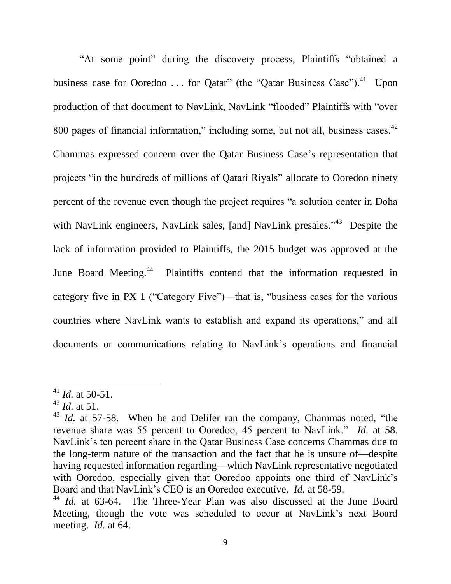"At some point" during the discovery process, Plaintiffs "obtained a business case for Ooredoo ... for Qatar" (the "Qatar Business Case").<sup>41</sup> Upon production of that document to NavLink, NavLink "flooded" Plaintiffs with "over 800 pages of financial information," including some, but not all, business cases. $42$ Chammas expressed concern over the Qatar Business Case's representation that projects "in the hundreds of millions of Qatari Riyals" allocate to Ooredoo ninety percent of the revenue even though the project requires "a solution center in Doha with NavLink engineers, NavLink sales, [and] NavLink presales."<sup>43</sup> Despite the lack of information provided to Plaintiffs, the 2015 budget was approved at the June Board Meeting.<sup>44</sup> Plaintiffs contend that the information requested in category five in PX 1 ("Category Five")—that is, "business cases for the various countries where NavLink wants to establish and expand its operations," and all documents or communications relating to NavLink's operations and financial

<sup>41</sup> *Id.* at 50-51.

 $^{42}$  *Id.* at 51.

<sup>&</sup>lt;sup>43</sup> *Id.* at 57-58. When he and Delifer ran the company, Chammas noted, "the revenue share was 55 percent to Ooredoo, 45 percent to NavLink." *Id.* at 58. NavLink's ten percent share in the Qatar Business Case concerns Chammas due to the long-term nature of the transaction and the fact that he is unsure of—despite having requested information regarding—which NavLink representative negotiated with Ooredoo, especially given that Ooredoo appoints one third of NavLink's Board and that NavLink's CEO is an Ooredoo executive. *Id.* at 58-59.

<sup>&</sup>lt;sup>44</sup> *Id.* at 63-64. The Three-Year Plan was also discussed at the June Board Meeting, though the vote was scheduled to occur at NavLink's next Board meeting. *Id.* at 64.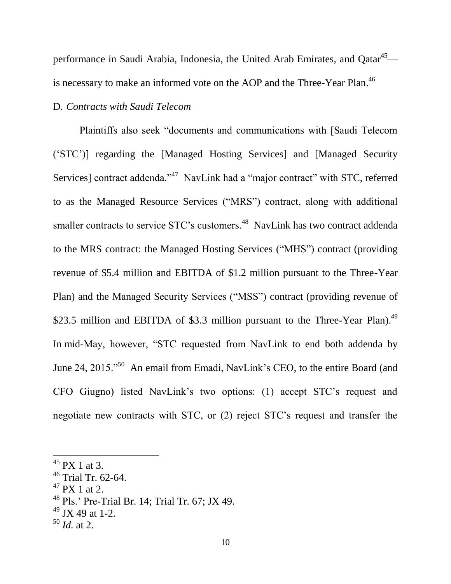performance in Saudi Arabia, Indonesia, the United Arab Emirates, and Qatar<sup>45</sup> is necessary to make an informed vote on the AOP and the Three-Year Plan.<sup>46</sup>

## D. *Contracts with Saudi Telecom*

Plaintiffs also seek "documents and communications with [Saudi Telecom ('STC')] regarding the [Managed Hosting Services] and [Managed Security Services] contract addenda."<sup>47</sup> NavLink had a "major contract" with STC, referred to as the Managed Resource Services ("MRS") contract, along with additional smaller contracts to service STC's customers.<sup>48</sup> NavLink has two contract addenda to the MRS contract: the Managed Hosting Services ("MHS") contract (providing revenue of \$5.4 million and EBITDA of \$1.2 million pursuant to the Three-Year Plan) and the Managed Security Services ("MSS") contract (providing revenue of \$23.5 million and EBITDA of \$3.3 million pursuant to the Three-Year Plan).<sup>49</sup> In mid-May, however, "STC requested from NavLink to end both addenda by June 24, 2015."<sup>50</sup> An email from Emadi, NavLink's CEO, to the entire Board (and CFO Giugno) listed NavLink's two options: (1) accept STC's request and negotiate new contracts with STC, or (2) reject STC's request and transfer the

 $\overline{a}$ 

<sup>50</sup> *Id.* at 2.

 $45$  PX 1 at 3.

 $46$  Trial Tr. 62-64.

 $47$  PX 1 at 2.

<sup>48</sup> Pls.' Pre-Trial Br. 14; Trial Tr. 67; JX 49.

 $49$  JX 49 at 1-2.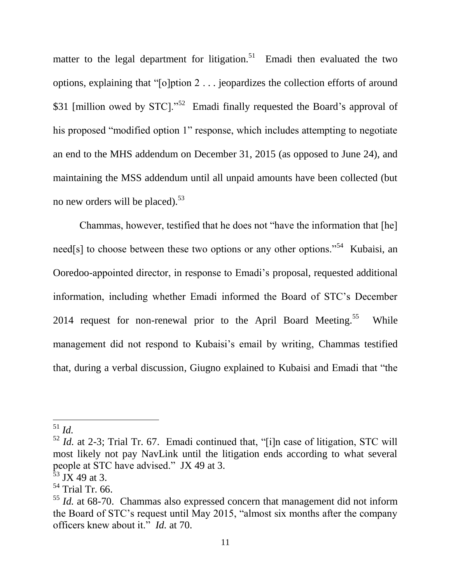matter to the legal department for litigation.<sup>51</sup> Emadi then evaluated the two options, explaining that "[o]ption 2 . . . jeopardizes the collection efforts of around \$31 [million owed by STC]."<sup>52</sup> Emadi finally requested the Board's approval of his proposed "modified option 1" response, which includes attempting to negotiate an end to the MHS addendum on December 31, 2015 (as opposed to June 24), and maintaining the MSS addendum until all unpaid amounts have been collected (but no new orders will be placed).<sup>53</sup>

Chammas, however, testified that he does not "have the information that [he] need[s] to choose between these two options or any other options."<sup>54</sup> Kubaisi, an Ooredoo-appointed director, in response to Emadi's proposal, requested additional information, including whether Emadi informed the Board of STC's December 2014 request for non-renewal prior to the April Board Meeting.<sup>55</sup> While management did not respond to Kubaisi's email by writing, Chammas testified that, during a verbal discussion, Giugno explained to Kubaisi and Emadi that "the

<sup>51</sup> *Id.*

<sup>52</sup> *Id.* at 2-3; Trial Tr. 67. Emadi continued that, "[i]n case of litigation, STC will most likely not pay NavLink until the litigation ends according to what several people at STC have advised." JX 49 at 3.

 $3\overline{3}$  JX 49 at 3.

 $54$  Trial Tr. 66.

<sup>55</sup> *Id.* at 68-70. Chammas also expressed concern that management did not inform the Board of STC's request until May 2015, "almost six months after the company officers knew about it." *Id.* at 70.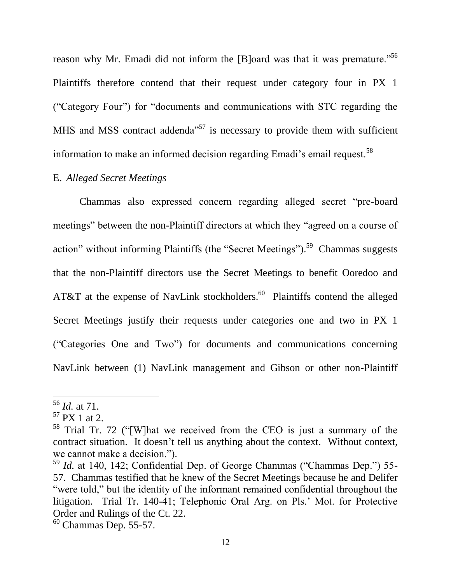reason why Mr. Emadi did not inform the [B]oard was that it was premature."<sup>56</sup> Plaintiffs therefore contend that their request under category four in PX 1 ("Category Four") for "documents and communications with STC regarding the MHS and MSS contract addenda<sup>57</sup> is necessary to provide them with sufficient information to make an informed decision regarding Emadi's email request.<sup>58</sup>

## E. *Alleged Secret Meetings*

Chammas also expressed concern regarding alleged secret "pre-board meetings" between the non-Plaintiff directors at which they "agreed on a course of action" without informing Plaintiffs (the "Secret Meetings").<sup>59</sup> Chammas suggests that the non-Plaintiff directors use the Secret Meetings to benefit Ooredoo and AT&T at the expense of NavLink stockholders.<sup>60</sup> Plaintiffs contend the alleged Secret Meetings justify their requests under categories one and two in PX 1 ("Categories One and Two") for documents and communications concerning NavLink between (1) NavLink management and Gibson or other non-Plaintiff

<sup>56</sup> *Id.* at 71.

 $57$  PX 1 at 2.

<sup>58</sup> Trial Tr. 72 ("[W]hat we received from the CEO is just a summary of the contract situation. It doesn't tell us anything about the context. Without context, we cannot make a decision.").

<sup>59</sup> *Id.* at 140, 142; Confidential Dep. of George Chammas ("Chammas Dep.") 55- 57. Chammas testified that he knew of the Secret Meetings because he and Delifer "were told," but the identity of the informant remained confidential throughout the litigation. Trial Tr. 140-41; Telephonic Oral Arg. on Pls.' Mot. for Protective Order and Rulings of the Ct. 22.

 $60$  Chammas Dep. 55-57.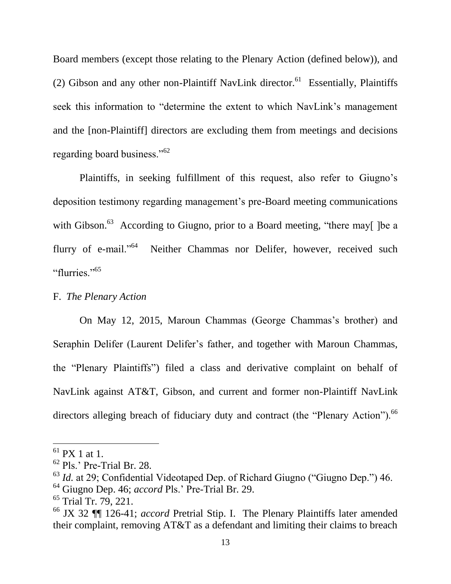Board members (except those relating to the Plenary Action (defined below)), and (2) Gibson and any other non-Plaintiff NavLink director.<sup>61</sup> Essentially, Plaintiffs seek this information to "determine the extent to which NavLink's management and the [non-Plaintiff] directors are excluding them from meetings and decisions regarding board business."<sup>62</sup>

Plaintiffs, in seeking fulfillment of this request, also refer to Giugno's deposition testimony regarding management's pre-Board meeting communications with Gibson.<sup>63</sup> According to Giugno, prior to a Board meeting, "there may[ ]be a flurry of e-mail."<sup>64</sup> Neither Chammas nor Delifer, however, received such "flurries"<sup>565</sup>

## F. *The Plenary Action*

On May 12, 2015, Maroun Chammas (George Chammas's brother) and Seraphin Delifer (Laurent Delifer's father, and together with Maroun Chammas, the "Plenary Plaintiffs") filed a class and derivative complaint on behalf of NavLink against AT&T, Gibson, and current and former non-Plaintiff NavLink directors alleging breach of fiduciary duty and contract (the "Plenary Action").<sup>66</sup>

 $<sup>61</sup>$  PX 1 at 1.</sup>

<sup>62</sup> Pls.' Pre-Trial Br. 28.

<sup>63</sup> *Id.* at 29; Confidential Videotaped Dep. of Richard Giugno ("Giugno Dep.") 46.

<sup>64</sup> Giugno Dep. 46; *accord* Pls.' Pre-Trial Br. 29.

 $65$  Trial Tr. 79, 221.

<sup>66</sup> JX 32 ¶¶ 126-41; *accord* Pretrial Stip. I. The Plenary Plaintiffs later amended their complaint, removing AT&T as a defendant and limiting their claims to breach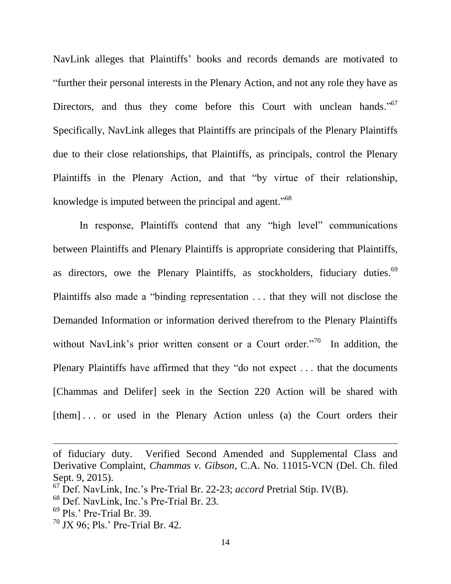NavLink alleges that Plaintiffs' books and records demands are motivated to "further their personal interests in the Plenary Action, and not any role they have as Directors, and thus they come before this Court with unclean hands."<sup>67</sup> Specifically, NavLink alleges that Plaintiffs are principals of the Plenary Plaintiffs due to their close relationships, that Plaintiffs, as principals, control the Plenary Plaintiffs in the Plenary Action, and that "by virtue of their relationship, knowledge is imputed between the principal and agent."<sup>68</sup>

In response, Plaintiffs contend that any "high level" communications between Plaintiffs and Plenary Plaintiffs is appropriate considering that Plaintiffs, as directors, owe the Plenary Plaintiffs, as stockholders, fiduciary duties.<sup>69</sup> Plaintiffs also made a "binding representation . . . that they will not disclose the Demanded Information or information derived therefrom to the Plenary Plaintiffs without NavLink's prior written consent or a Court order."<sup>70</sup> In addition, the Plenary Plaintiffs have affirmed that they "do not expect . . . that the documents [Chammas and Delifer] seek in the Section 220 Action will be shared with [them] ... or used in the Plenary Action unless (a) the Court orders their

of fiduciary duty. Verified Second Amended and Supplemental Class and Derivative Complaint, *Chammas v. Gibson*, C.A. No. 11015-VCN (Del. Ch. filed Sept. 9, 2015).

<sup>67</sup> Def. NavLink, Inc.'s Pre-Trial Br. 22-23; *accord* Pretrial Stip. IV(B).

<sup>68</sup> Def. NavLink, Inc.'s Pre-Trial Br. 23.

 $69$  Pls.' Pre-Trial Br. 39.

 $70$  JX 96; Pls.' Pre-Trial Br. 42.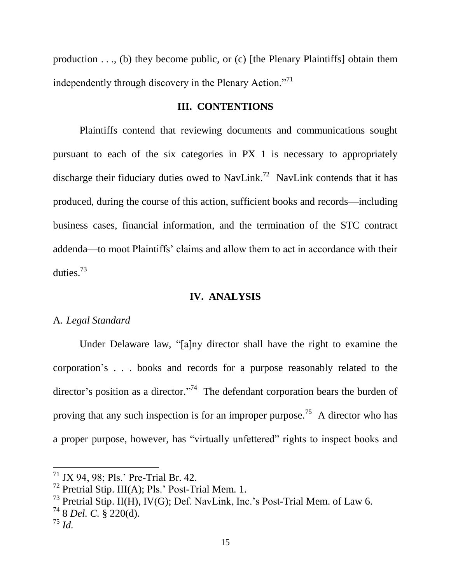production . . ., (b) they become public, or (c) [the Plenary Plaintiffs] obtain them independently through discovery in the Plenary Action."<sup>71</sup>

## **III. CONTENTIONS**

Plaintiffs contend that reviewing documents and communications sought pursuant to each of the six categories in PX 1 is necessary to appropriately discharge their fiduciary duties owed to NavLink.<sup>72</sup> NavLink contends that it has produced, during the course of this action, sufficient books and records—including business cases, financial information, and the termination of the STC contract addenda—to moot Plaintiffs' claims and allow them to act in accordance with their duties.<sup>73</sup>

#### **IV. ANALYSIS**

#### A. *Legal Standard*

Under Delaware law, "[a]ny director shall have the right to examine the corporation's . . . books and records for a purpose reasonably related to the director's position as a director."<sup>74</sup> The defendant corporation bears the burden of proving that any such inspection is for an improper purpose.<sup>75</sup> A director who has a proper purpose, however, has "virtually unfettered" rights to inspect books and

<sup>71</sup> JX 94, 98; Pls.' Pre-Trial Br. 42.

 $<sup>72</sup>$  Pretrial Stip. III(A); Pls.' Post-Trial Mem. 1.</sup>

<sup>&</sup>lt;sup>73</sup> Pretrial Stip. II(H), IV(G); Def. NavLink, Inc.'s Post-Trial Mem. of Law 6.

<sup>74</sup> 8 *Del. C.* § 220(d).

<sup>75</sup> *Id.*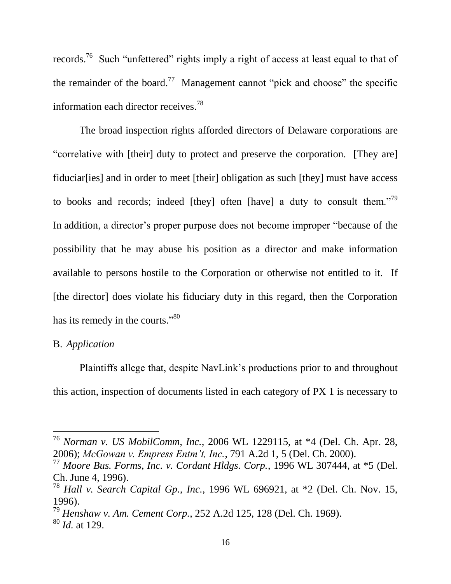records.<sup>76</sup> Such "unfettered" rights imply a right of access at least equal to that of the remainder of the board.<sup>77</sup> Management cannot "pick and choose" the specific information each director receives.<sup>78</sup>

The broad inspection rights afforded directors of Delaware corporations are "correlative with [their] duty to protect and preserve the corporation. [They are] fiduciar[ies] and in order to meet [their] obligation as such [they] must have access to books and records; indeed [they] often [have] a duty to consult them.<sup>79</sup> In addition, a director's proper purpose does not become improper "because of the possibility that he may abuse his position as a director and make information available to persons hostile to the Corporation or otherwise not entitled to it. If [the director] does violate his fiduciary duty in this regard, then the Corporation has its remedy in the courts."<sup>80</sup>

## B. *Application*

Plaintiffs allege that, despite NavLink's productions prior to and throughout this action, inspection of documents listed in each category of PX 1 is necessary to

<sup>76</sup> *Norman v. US MobilComm, Inc.*, 2006 WL 1229115, at \*4 (Del. Ch. Apr. 28, 2006); *McGowan v. Empress Entm't, Inc.*, 791 A.2d 1, 5 (Del. Ch. 2000).

<sup>77</sup> *Moore Bus. Forms, Inc. v. Cordant Hldgs. Corp.*, 1996 WL 307444, at \*5 (Del. Ch. June 4, 1996).

<sup>78</sup> *Hall v. Search Capital Gp., Inc.*, 1996 WL 696921, at \*2 (Del. Ch. Nov. 15, 1996).

<sup>79</sup> *Henshaw v. Am. Cement Corp.*, 252 A.2d 125, 128 (Del. Ch. 1969).

<sup>80</sup> *Id.* at 129.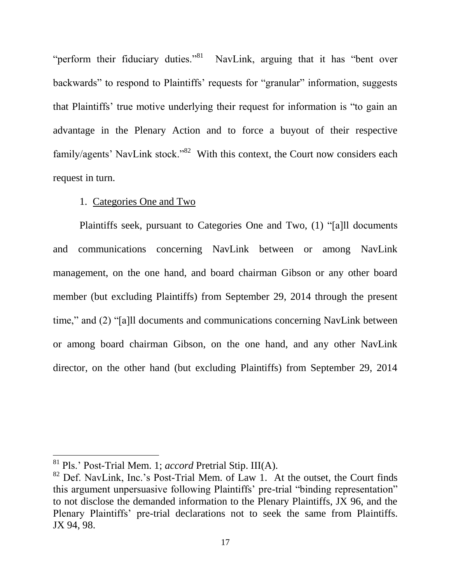"perform their fiduciary duties."<sup>81</sup> NavLink, arguing that it has "bent over backwards" to respond to Plaintiffs' requests for "granular" information, suggests that Plaintiffs' true motive underlying their request for information is "to gain an advantage in the Plenary Action and to force a buyout of their respective family/agents' NavLink stock."<sup>82</sup> With this context, the Court now considers each request in turn.

## 1. Categories One and Two

Plaintiffs seek, pursuant to Categories One and Two, (1) "[a]ll documents and communications concerning NavLink between or among NavLink management, on the one hand, and board chairman Gibson or any other board member (but excluding Plaintiffs) from September 29, 2014 through the present time," and (2) "[a]ll documents and communications concerning NavLink between or among board chairman Gibson, on the one hand, and any other NavLink director, on the other hand (but excluding Plaintiffs) from September 29, 2014

<sup>81</sup> Pls.' Post-Trial Mem. 1; *accord* Pretrial Stip. III(A).

 $82$  Def. NavLink, Inc.'s Post-Trial Mem. of Law 1. At the outset, the Court finds this argument unpersuasive following Plaintiffs' pre-trial "binding representation" to not disclose the demanded information to the Plenary Plaintiffs, JX 96, and the Plenary Plaintiffs' pre-trial declarations not to seek the same from Plaintiffs. JX 94, 98.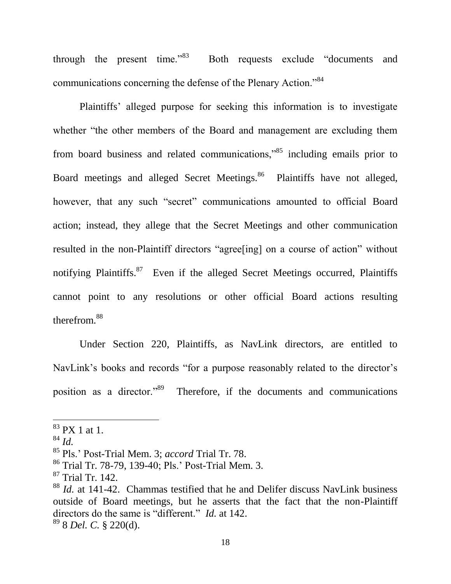through the present time." $83$  Both requests exclude "documents and communications concerning the defense of the Plenary Action."<sup>84</sup>

Plaintiffs' alleged purpose for seeking this information is to investigate whether "the other members of the Board and management are excluding them from board business and related communications,"<sup>85</sup> including emails prior to Board meetings and alleged Secret Meetings.<sup>86</sup> Plaintiffs have not alleged, however, that any such "secret" communications amounted to official Board action; instead, they allege that the Secret Meetings and other communication resulted in the non-Plaintiff directors "agree[ing] on a course of action" without notifying Plaintiffs.<sup>87</sup> Even if the alleged Secret Meetings occurred, Plaintiffs cannot point to any resolutions or other official Board actions resulting therefrom.<sup>88</sup>

Under Section 220, Plaintiffs, as NavLink directors, are entitled to NavLink's books and records "for a purpose reasonably related to the director's position as a director."<sup>89</sup> Therefore, if the documents and communications

 $\overline{a}$ 

<sup>89</sup> 8 *Del. C.* § 220(d).

<sup>83</sup> PX 1 at 1.

<sup>84</sup> *Id.*

<sup>85</sup> Pls.' Post-Trial Mem. 3; *accord* Trial Tr. 78.

<sup>86</sup> Trial Tr. 78-79, 139-40; Pls.' Post-Trial Mem. 3.

<sup>87</sup> Trial Tr. 142.

<sup>88</sup> *Id.* at 141-42. Chammas testified that he and Delifer discuss NavLink business outside of Board meetings, but he asserts that the fact that the non-Plaintiff directors do the same is "different." *Id.* at 142.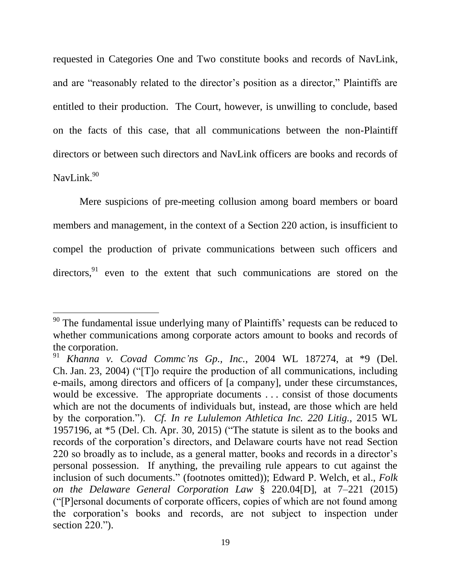requested in Categories One and Two constitute books and records of NavLink, and are "reasonably related to the director's position as a director," Plaintiffs are entitled to their production. The Court, however, is unwilling to conclude, based on the facts of this case, that all communications between the non-Plaintiff directors or between such directors and NavLink officers are books and records of NavLink. $90$ 

Mere suspicions of pre-meeting collusion among board members or board members and management, in the context of a Section 220 action, is insufficient to compel the production of private communications between such officers and directors, $91$  even to the extent that such communications are stored on the

 $90$  The fundamental issue underlying many of Plaintiffs' requests can be reduced to whether communications among corporate actors amount to books and records of the corporation.

<sup>91</sup> *Khanna v. Covad Commc'ns Gp., Inc.*, 2004 WL 187274, at \*9 (Del. Ch. Jan. 23, 2004) ("[T]o require the production of all communications, including e-mails, among directors and officers of [a company], under these circumstances, would be excessive. The appropriate documents . . . consist of those documents which are not the documents of individuals but, instead, are those which are held by the corporation."). *Cf. In re Lululemon Athletica Inc. 220 Litig.*, 2015 WL 1957196, at \*5 (Del. Ch. Apr. 30, 2015) ("The statute is silent as to the books and records of the corporation's directors, and Delaware courts have not read Section 220 so broadly as to include, as a general matter, books and records in a director's personal possession. If anything, the prevailing rule appears to cut against the inclusion of such documents." (footnotes omitted)); Edward P. Welch, et al., *Folk on the Delaware General Corporation Law* § 220.04[D], at 7–221 (2015) ("[P]ersonal documents of corporate officers, copies of which are not found among the corporation's books and records, are not subject to inspection under section 220.").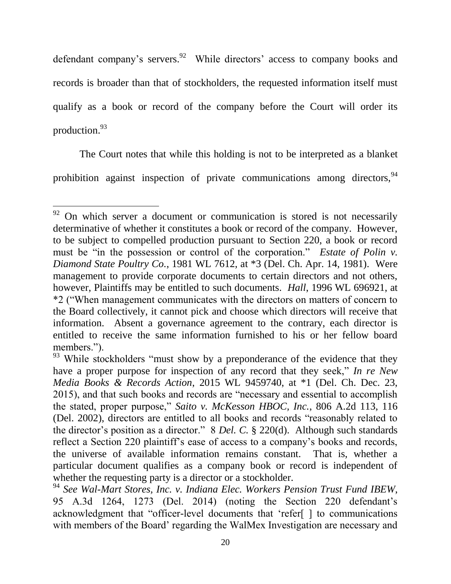defendant company's servers.<sup>92</sup> While directors' access to company books and records is broader than that of stockholders, the requested information itself must qualify as a book or record of the company before the Court will order its production. 93

The Court notes that while this holding is not to be interpreted as a blanket prohibition against inspection of private communications among directors,  $94$ 

 $92$  On which server a document or communication is stored is not necessarily determinative of whether it constitutes a book or record of the company. However, to be subject to compelled production pursuant to Section 220, a book or record must be "in the possession or control of the corporation." *Estate of Polin v. Diamond State Poultry Co.*, 1981 WL 7612, at \*3 (Del. Ch. Apr. 14, 1981). Were management to provide corporate documents to certain directors and not others, however, Plaintiffs may be entitled to such documents. *Hall*, 1996 WL 696921, at \*2 ("When management communicates with the directors on matters of concern to the Board collectively, it cannot pick and choose which directors will receive that information. Absent a governance agreement to the contrary, each director is entitled to receive the same information furnished to his or her fellow board members.").

<sup>&</sup>lt;sup>93</sup> While stockholders "must show by a preponderance of the evidence that they have a proper purpose for inspection of any record that they seek," *In re New Media Books & Records Action*, 2015 WL 9459740, at \*1 (Del. Ch. Dec. 23, 2015), and that such books and records are "necessary and essential to accomplish the stated, proper purpose," *Saito v. McKesson HBOC, Inc.*, 806 A.2d 113, 116 (Del. 2002), directors are entitled to all books and records "reasonably related to the director's position as a director." 8 *Del. C.* § 220(d). Although such standards reflect a Section 220 plaintiff's ease of access to a company's books and records, the universe of available information remains constant. That is, whether a particular document qualifies as a company book or record is independent of whether the requesting party is a director or a stockholder.

<sup>94</sup> *See Wal-Mart Stores, Inc. v. Indiana Elec. Workers Pension Trust Fund IBEW*, 95 A.3d 1264, 1273 (Del. 2014) (noting the Section 220 defendant's acknowledgment that "officer-level documents that 'refer[ ] to communications with members of the Board' regarding the WalMex Investigation are necessary and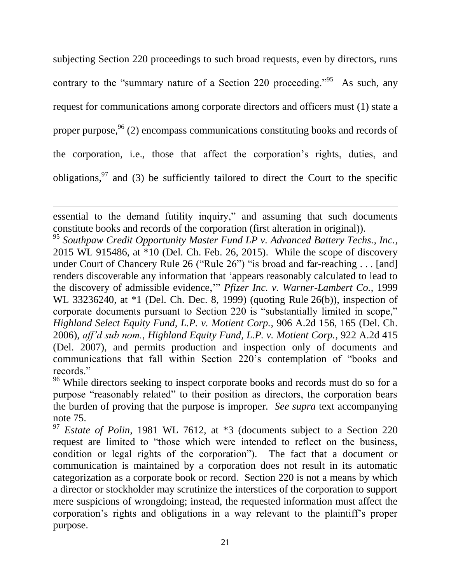subjecting Section 220 proceedings to such broad requests, even by directors, runs contrary to the "summary nature of a Section 220 proceeding."<sup>95</sup> As such, any request for communications among corporate directors and officers must (1) state a proper purpose,  $96$  (2) encompass communications constituting books and records of the corporation, i.e., those that affect the corporation's rights, duties, and obligations,  $97$  and (3) be sufficiently tailored to direct the Court to the specific

essential to the demand futility inquiry," and assuming that such documents constitute books and records of the corporation (first alteration in original)).

 $\overline{a}$ 

<sup>95</sup> *Southpaw Credit Opportunity Master Fund LP v. Advanced Battery Techs., Inc.*, 2015 WL 915486, at \*10 (Del. Ch. Feb. 26, 2015). While the scope of discovery under Court of Chancery Rule 26 ("Rule 26") "is broad and far-reaching . . . [and] renders discoverable any information that 'appears reasonably calculated to lead to the discovery of admissible evidence,'" *Pfizer Inc. v. Warner-Lambert Co.*, 1999 WL 33236240, at \*1 (Del. Ch. Dec. 8, 1999) (quoting Rule 26(b)), inspection of corporate documents pursuant to Section 220 is "substantially limited in scope," *Highland Select Equity Fund, L.P. v. Motient Corp.*, 906 A.2d 156, 165 (Del. Ch. 2006), *aff'd sub nom.*, *Highland Equity Fund, L.P. v. Motient Corp.*, 922 A.2d 415 (Del. 2007), and permits production and inspection only of documents and communications that fall within Section 220's contemplation of "books and records."

<sup>96</sup> While directors seeking to inspect corporate books and records must do so for a purpose "reasonably related" to their position as directors, the corporation bears the burden of proving that the purpose is improper. *See supra* text accompanying note 75.

<sup>97</sup> *Estate of Polin*, 1981 WL 7612, at \*3 (documents subject to a Section 220 request are limited to "those which were intended to reflect on the business, condition or legal rights of the corporation"). The fact that a document or communication is maintained by a corporation does not result in its automatic categorization as a corporate book or record. Section 220 is not a means by which a director or stockholder may scrutinize the interstices of the corporation to support mere suspicions of wrongdoing; instead, the requested information must affect the corporation's rights and obligations in a way relevant to the plaintiff's proper purpose.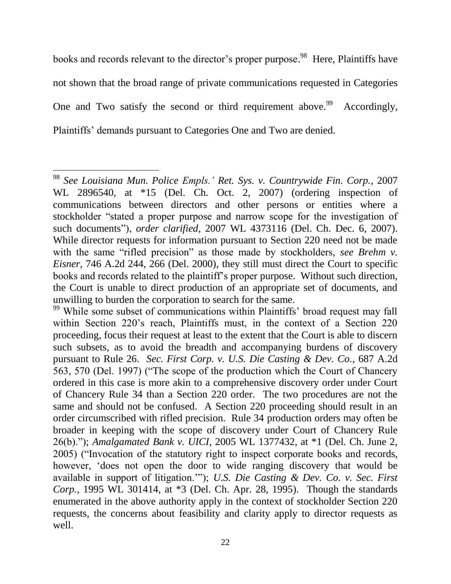books and records relevant to the director's proper purpose.<sup>98</sup> Here, Plaintiffs have not shown that the broad range of private communications requested in Categories One and Two satisfy the second or third requirement above.<sup>99</sup> Accordingly, Plaintiffs' demands pursuant to Categories One and Two are denied.

<sup>98</sup> *See Louisiana Mun. Police Empls.' Ret. Sys. v. Countrywide Fin. Corp.*, 2007 WL 2896540, at \*15 (Del. Ch. Oct. 2, 2007) (ordering inspection of communications between directors and other persons or entities where a stockholder "stated a proper purpose and narrow scope for the investigation of such documents"), *order clarified*, 2007 WL 4373116 (Del. Ch. Dec. 6, 2007). While director requests for information pursuant to Section 220 need not be made with the same "rifled precision" as those made by stockholders, *see Brehm v. Eisner*, 746 A.2d 244, 266 (Del. 2000), they still must direct the Court to specific books and records related to the plaintiff's proper purpose. Without such direction, the Court is unable to direct production of an appropriate set of documents, and unwilling to burden the corporation to search for the same.

<sup>&</sup>lt;sup>99</sup> While some subset of communications within Plaintiffs' broad request may fall within Section 220's reach, Plaintiffs must, in the context of a Section 220 proceeding, focus their request at least to the extent that the Court is able to discern such subsets, as to avoid the breadth and accompanying burdens of discovery pursuant to Rule 26. *Sec. First Corp. v. U.S. Die Casting & Dev. Co.*, 687 A.2d 563, 570 (Del. 1997) ("The scope of the production which the Court of Chancery ordered in this case is more akin to a comprehensive discovery order under Court of Chancery Rule 34 than a Section 220 order. The two procedures are not the same and should not be confused. A Section 220 proceeding should result in an order circumscribed with rifled precision. Rule 34 production orders may often be broader in keeping with the scope of discovery under Court of Chancery Rule 26(b)."); *Amalgamated Bank v. UICI*, 2005 WL 1377432, at \*1 (Del. Ch. June 2, 2005) ("Invocation of the statutory right to inspect corporate books and records, however, 'does not open the door to wide ranging discovery that would be available in support of litigation.'"); *U.S. Die Casting & Dev. Co. v. Sec. First Corp.*, 1995 WL 301414, at \*3 (Del. Ch. Apr. 28, 1995). Though the standards enumerated in the above authority apply in the context of stockholder Section 220 requests, the concerns about feasibility and clarity apply to director requests as well.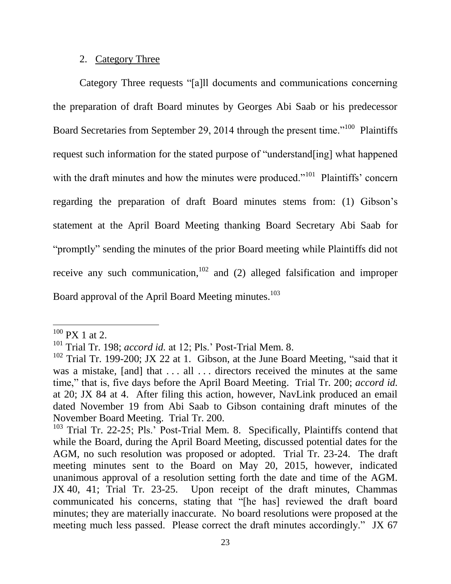## 2. Category Three

Category Three requests "[a]ll documents and communications concerning the preparation of draft Board minutes by Georges Abi Saab or his predecessor Board Secretaries from September 29, 2014 through the present time."<sup>100</sup> Plaintiffs request such information for the stated purpose of "understand[ing] what happened with the draft minutes and how the minutes were produced."<sup>101</sup> Plaintiffs' concern regarding the preparation of draft Board minutes stems from: (1) Gibson's statement at the April Board Meeting thanking Board Secretary Abi Saab for "promptly" sending the minutes of the prior Board meeting while Plaintiffs did not receive any such communication, $102$  and (2) alleged falsification and improper Board approval of the April Board Meeting minutes.<sup>103</sup>

 $100$  PX 1 at 2.

<sup>101</sup> Trial Tr. 198; *accord id.* at 12; Pls.' Post-Trial Mem. 8.

<sup>&</sup>lt;sup>102</sup> Trial Tr. 199-200; JX 22 at 1. Gibson, at the June Board Meeting, "said that it was a mistake, [and] that ... all ... directors received the minutes at the same time," that is, five days before the April Board Meeting. Trial Tr. 200; *accord id.* at 20; JX 84 at 4. After filing this action, however, NavLink produced an email dated November 19 from Abi Saab to Gibson containing draft minutes of the November Board Meeting. Trial Tr. 200.

<sup>&</sup>lt;sup>103</sup> Trial Tr. 22-25; Pls.' Post-Trial Mem. 8. Specifically, Plaintiffs contend that while the Board, during the April Board Meeting, discussed potential dates for the AGM, no such resolution was proposed or adopted. Trial Tr. 23-24. The draft meeting minutes sent to the Board on May 20, 2015, however, indicated unanimous approval of a resolution setting forth the date and time of the AGM. JX 40, 41; Trial Tr. 23-25. Upon receipt of the draft minutes, Chammas communicated his concerns, stating that "[he has] reviewed the draft board minutes; they are materially inaccurate. No board resolutions were proposed at the meeting much less passed. Please correct the draft minutes accordingly." JX 67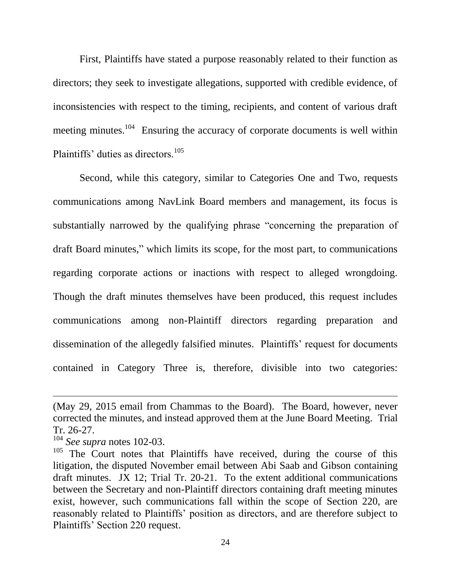First, Plaintiffs have stated a purpose reasonably related to their function as directors; they seek to investigate allegations, supported with credible evidence, of inconsistencies with respect to the timing, recipients, and content of various draft meeting minutes.<sup>104</sup> Ensuring the accuracy of corporate documents is well within Plaintiffs' duties as directors.<sup>105</sup>

Second, while this category, similar to Categories One and Two, requests communications among NavLink Board members and management, its focus is substantially narrowed by the qualifying phrase "concerning the preparation of draft Board minutes," which limits its scope, for the most part, to communications regarding corporate actions or inactions with respect to alleged wrongdoing. Though the draft minutes themselves have been produced, this request includes communications among non-Plaintiff directors regarding preparation and dissemination of the allegedly falsified minutes. Plaintiffs' request for documents contained in Category Three is, therefore, divisible into two categories:

<sup>(</sup>May 29, 2015 email from Chammas to the Board). The Board, however, never corrected the minutes, and instead approved them at the June Board Meeting. Trial Tr. 26-27.

<sup>104</sup> *See supra* notes 102-03.

<sup>&</sup>lt;sup>105</sup> The Court notes that Plaintiffs have received, during the course of this litigation, the disputed November email between Abi Saab and Gibson containing draft minutes. JX 12; Trial Tr. 20-21. To the extent additional communications between the Secretary and non-Plaintiff directors containing draft meeting minutes exist, however, such communications fall within the scope of Section 220, are reasonably related to Plaintiffs' position as directors, and are therefore subject to Plaintiffs' Section 220 request.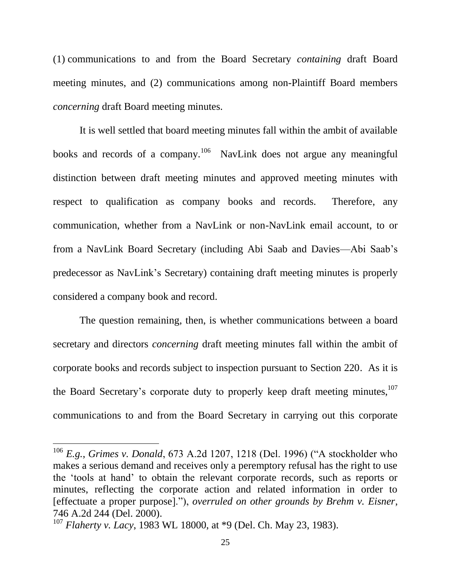(1) communications to and from the Board Secretary *containing* draft Board meeting minutes, and (2) communications among non-Plaintiff Board members *concerning* draft Board meeting minutes.

It is well settled that board meeting minutes fall within the ambit of available books and records of a company.<sup>106</sup> NavLink does not argue any meaningful distinction between draft meeting minutes and approved meeting minutes with respect to qualification as company books and records. Therefore, any communication, whether from a NavLink or non-NavLink email account, to or from a NavLink Board Secretary (including Abi Saab and Davies—Abi Saab's predecessor as NavLink's Secretary) containing draft meeting minutes is properly considered a company book and record.

The question remaining, then, is whether communications between a board secretary and directors *concerning* draft meeting minutes fall within the ambit of corporate books and records subject to inspection pursuant to Section 220. As it is the Board Secretary's corporate duty to properly keep draft meeting minutes,<sup>107</sup> communications to and from the Board Secretary in carrying out this corporate

<sup>106</sup> *E.g.*, *Grimes v. Donald*, 673 A.2d 1207, 1218 (Del. 1996) ("A stockholder who makes a serious demand and receives only a peremptory refusal has the right to use the 'tools at hand' to obtain the relevant corporate records, such as reports or minutes, reflecting the corporate action and related information in order to [effectuate a proper purpose]."), *overruled on other grounds by Brehm v. Eisner*, 746 A.2d 244 (Del. 2000).

<sup>107</sup> *Flaherty v. Lacy*, 1983 WL 18000, at \*9 (Del. Ch. May 23, 1983).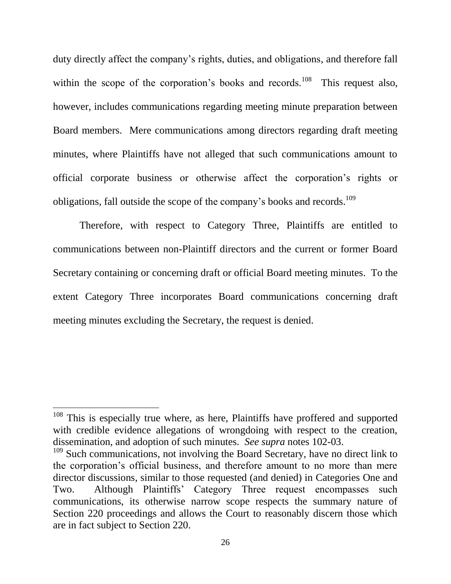duty directly affect the company's rights, duties, and obligations, and therefore fall within the scope of the corporation's books and records.<sup>108</sup> This request also, however, includes communications regarding meeting minute preparation between Board members. Mere communications among directors regarding draft meeting minutes, where Plaintiffs have not alleged that such communications amount to official corporate business or otherwise affect the corporation's rights or obligations, fall outside the scope of the company's books and records.<sup>109</sup>

Therefore, with respect to Category Three, Plaintiffs are entitled to communications between non-Plaintiff directors and the current or former Board Secretary containing or concerning draft or official Board meeting minutes. To the extent Category Three incorporates Board communications concerning draft meeting minutes excluding the Secretary, the request is denied.

<sup>&</sup>lt;sup>108</sup> This is especially true where, as here, Plaintiffs have proffered and supported with credible evidence allegations of wrongdoing with respect to the creation, dissemination, and adoption of such minutes. *See supra* notes 102-03.

<sup>&</sup>lt;sup>109</sup> Such communications, not involving the Board Secretary, have no direct link to the corporation's official business, and therefore amount to no more than mere director discussions, similar to those requested (and denied) in Categories One and Two. Although Plaintiffs' Category Three request encompasses such communications, its otherwise narrow scope respects the summary nature of Section 220 proceedings and allows the Court to reasonably discern those which are in fact subject to Section 220.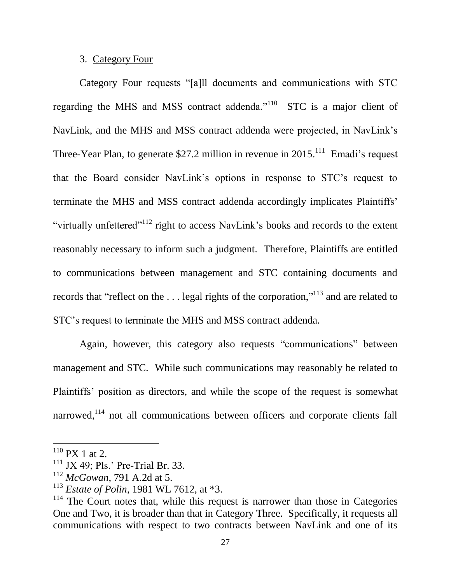## 3. Category Four

Category Four requests "[a]ll documents and communications with STC regarding the MHS and MSS contract addenda."<sup>110</sup> STC is a major client of NavLink, and the MHS and MSS contract addenda were projected, in NavLink's Three-Year Plan, to generate \$27.2 million in revenue in  $2015$ .<sup>111</sup> Emadi's request that the Board consider NavLink's options in response to STC's request to terminate the MHS and MSS contract addenda accordingly implicates Plaintiffs' "virtually unfettered"<sup>112</sup> right to access NavLink's books and records to the extent reasonably necessary to inform such a judgment. Therefore, Plaintiffs are entitled to communications between management and STC containing documents and records that "reflect on the . . . legal rights of the corporation,"<sup>113</sup> and are related to STC's request to terminate the MHS and MSS contract addenda.

Again, however, this category also requests "communications" between management and STC. While such communications may reasonably be related to Plaintiffs' position as directors, and while the scope of the request is somewhat narrowed,<sup>114</sup> not all communications between officers and corporate clients fall

 $110$  PX 1 at 2.

 $111$  JX 49; Pls.' Pre-Trial Br. 33.

<sup>112</sup> *McGowan*, 791 A.2d at 5.

<sup>113</sup> *Estate of Polin*, 1981 WL 7612, at \*3.

 $114$  The Court notes that, while this request is narrower than those in Categories One and Two, it is broader than that in Category Three. Specifically, it requests all communications with respect to two contracts between NavLink and one of its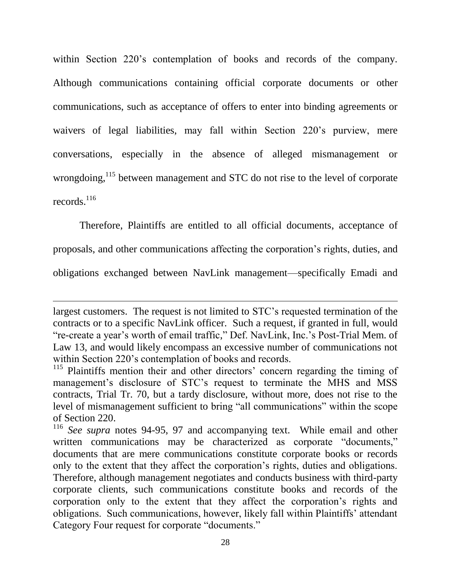within Section 220's contemplation of books and records of the company. Although communications containing official corporate documents or other communications, such as acceptance of offers to enter into binding agreements or waivers of legal liabilities, may fall within Section 220's purview, mere conversations, especially in the absence of alleged mismanagement or wrongdoing,<sup>115</sup> between management and STC do not rise to the level of corporate records. 116

Therefore, Plaintiffs are entitled to all official documents, acceptance of

proposals, and other communications affecting the corporation's rights, duties, and

obligations exchanged between NavLink management—specifically Emadi and

largest customers. The request is not limited to STC's requested termination of the contracts or to a specific NavLink officer. Such a request, if granted in full, would "re-create a year's worth of email traffic," Def. NavLink, Inc.'s Post-Trial Mem. of Law 13, and would likely encompass an excessive number of communications not within Section 220's contemplation of books and records.

<sup>&</sup>lt;sup>115</sup> Plaintiffs mention their and other directors' concern regarding the timing of management's disclosure of STC's request to terminate the MHS and MSS contracts, Trial Tr. 70, but a tardy disclosure, without more, does not rise to the level of mismanagement sufficient to bring "all communications" within the scope of Section 220.

<sup>116</sup> *See supra* notes 94-95, 97 and accompanying text. While email and other written communications may be characterized as corporate "documents," documents that are mere communications constitute corporate books or records only to the extent that they affect the corporation's rights, duties and obligations. Therefore, although management negotiates and conducts business with third-party corporate clients, such communications constitute books and records of the corporation only to the extent that they affect the corporation's rights and obligations. Such communications, however, likely fall within Plaintiffs' attendant Category Four request for corporate "documents."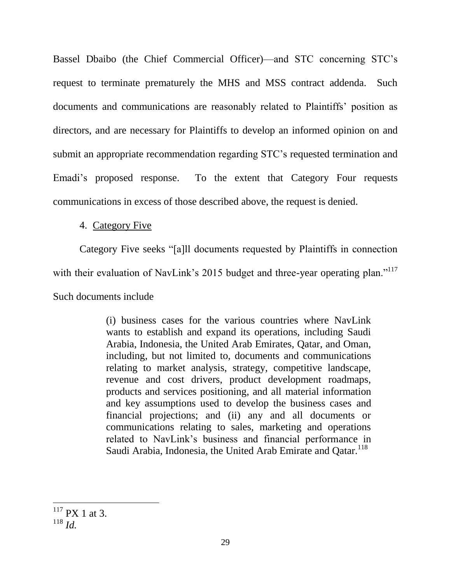Bassel Dbaibo (the Chief Commercial Officer)—and STC concerning STC's request to terminate prematurely the MHS and MSS contract addenda. Such documents and communications are reasonably related to Plaintiffs' position as directors, and are necessary for Plaintiffs to develop an informed opinion on and submit an appropriate recommendation regarding STC's requested termination and Emadi's proposed response. To the extent that Category Four requests communications in excess of those described above, the request is denied.

## 4. Category Five

Category Five seeks "[a]ll documents requested by Plaintiffs in connection with their evaluation of NavLink's 2015 budget and three-year operating plan."<sup>117</sup> Such documents include

> (i) business cases for the various countries where NavLink wants to establish and expand its operations, including Saudi Arabia, Indonesia, the United Arab Emirates, Qatar, and Oman, including, but not limited to, documents and communications relating to market analysis, strategy, competitive landscape, revenue and cost drivers, product development roadmaps, products and services positioning, and all material information and key assumptions used to develop the business cases and financial projections; and (ii) any and all documents or communications relating to sales, marketing and operations related to NavLink's business and financial performance in Saudi Arabia, Indonesia, the United Arab Emirate and Oatar.<sup>118</sup>

 $117$  PX 1 at 3.

<sup>118</sup> *Id.*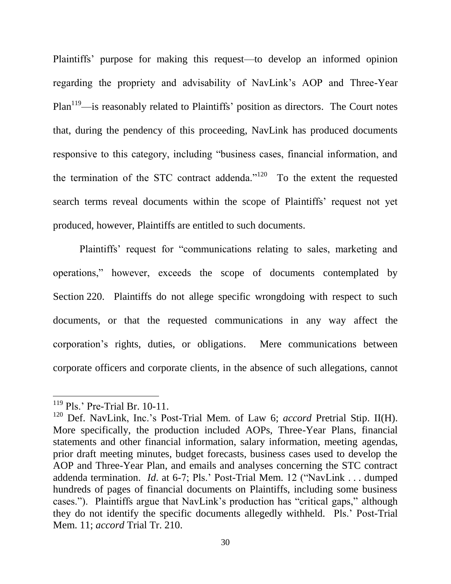Plaintiffs' purpose for making this request—to develop an informed opinion regarding the propriety and advisability of NavLink's AOP and Three-Year  $Plan<sup>119</sup>$ —is reasonably related to Plaintiffs' position as directors. The Court notes that, during the pendency of this proceeding, NavLink has produced documents responsive to this category, including "business cases, financial information, and the termination of the STC contract addenda."<sup>120</sup> To the extent the requested search terms reveal documents within the scope of Plaintiffs' request not yet produced, however, Plaintiffs are entitled to such documents.

Plaintiffs' request for "communications relating to sales, marketing and operations," however, exceeds the scope of documents contemplated by Section 220. Plaintiffs do not allege specific wrongdoing with respect to such documents, or that the requested communications in any way affect the corporation's rights, duties, or obligations. Mere communications between corporate officers and corporate clients, in the absence of such allegations, cannot

<sup>119</sup> Pls.' Pre-Trial Br. 10-11.

<sup>120</sup> Def. NavLink, Inc.'s Post-Trial Mem. of Law 6; *accord* Pretrial Stip. II(H). More specifically, the production included AOPs, Three-Year Plans, financial statements and other financial information, salary information, meeting agendas, prior draft meeting minutes, budget forecasts, business cases used to develop the AOP and Three-Year Plan, and emails and analyses concerning the STC contract addenda termination. *Id*. at 6-7; Pls.' Post-Trial Mem. 12 ("NavLink . . . dumped hundreds of pages of financial documents on Plaintiffs, including some business cases."). Plaintiffs argue that NavLink's production has "critical gaps," although they do not identify the specific documents allegedly withheld. Pls.' Post-Trial Mem. 11; *accord* Trial Tr. 210.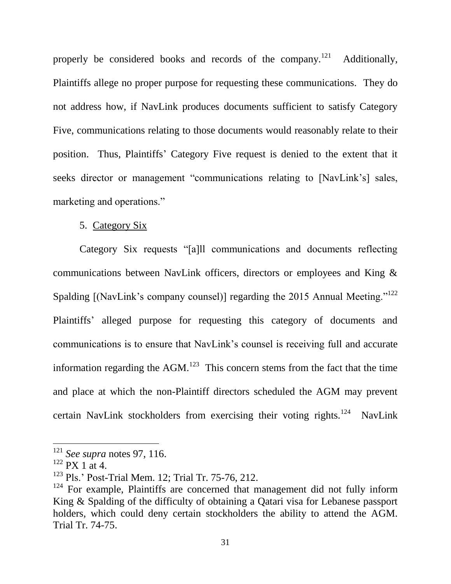properly be considered books and records of the company.<sup>121</sup> Additionally, Plaintiffs allege no proper purpose for requesting these communications. They do not address how, if NavLink produces documents sufficient to satisfy Category Five, communications relating to those documents would reasonably relate to their position. Thus, Plaintiffs' Category Five request is denied to the extent that it seeks director or management "communications relating to [NavLink's] sales, marketing and operations."

## 5. Category Six

Category Six requests "[a]ll communications and documents reflecting communications between NavLink officers, directors or employees and King & Spalding  $[Na vLink's company counts]$  regarding the 2015 Annual Meeting."<sup>122</sup> Plaintiffs' alleged purpose for requesting this category of documents and communications is to ensure that NavLink's counsel is receiving full and accurate information regarding the  $AGM$ <sup>123</sup>. This concern stems from the fact that the time and place at which the non-Plaintiff directors scheduled the AGM may prevent certain NavLink stockholders from exercising their voting rights.<sup>124</sup> NavLink

<sup>121</sup> *See supra* notes 97, 116.

 $122$  PX 1 at 4.

<sup>123</sup> Pls.' Post-Trial Mem. 12; Trial Tr. 75-76, 212.

 $124$  For example, Plaintiffs are concerned that management did not fully inform King & Spalding of the difficulty of obtaining a Qatari visa for Lebanese passport holders, which could deny certain stockholders the ability to attend the AGM. Trial Tr. 74-75.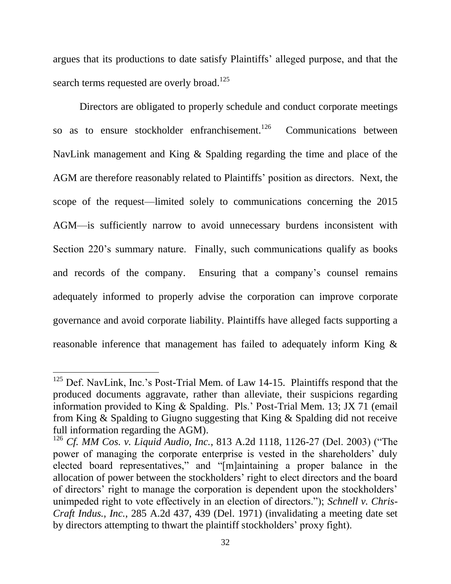argues that its productions to date satisfy Plaintiffs' alleged purpose, and that the search terms requested are overly broad.<sup>125</sup>

Directors are obligated to properly schedule and conduct corporate meetings so as to ensure stockholder enfranchisement.<sup>126</sup> Communications between NavLink management and King & Spalding regarding the time and place of the AGM are therefore reasonably related to Plaintiffs' position as directors. Next, the scope of the request—limited solely to communications concerning the 2015 AGM—is sufficiently narrow to avoid unnecessary burdens inconsistent with Section 220's summary nature. Finally, such communications qualify as books and records of the company. Ensuring that a company's counsel remains adequately informed to properly advise the corporation can improve corporate governance and avoid corporate liability. Plaintiffs have alleged facts supporting a reasonable inference that management has failed to adequately inform King &

 $125$  Def. NavLink, Inc.'s Post-Trial Mem. of Law 14-15. Plaintiffs respond that the produced documents aggravate, rather than alleviate, their suspicions regarding information provided to King & Spalding. Pls.' Post-Trial Mem. 13; JX 71 (email from King & Spalding to Giugno suggesting that King & Spalding did not receive full information regarding the AGM).

<sup>126</sup> *Cf. MM Cos. v. Liquid Audio, Inc.*, 813 A.2d 1118, 1126-27 (Del. 2003) ("The power of managing the corporate enterprise is vested in the shareholders' duly elected board representatives," and "[m]aintaining a proper balance in the allocation of power between the stockholders' right to elect directors and the board of directors' right to manage the corporation is dependent upon the stockholders' unimpeded right to vote effectively in an election of directors."); *Schnell v. Chris-Craft Indus., Inc.*, 285 A.2d 437, 439 (Del. 1971) (invalidating a meeting date set by directors attempting to thwart the plaintiff stockholders' proxy fight).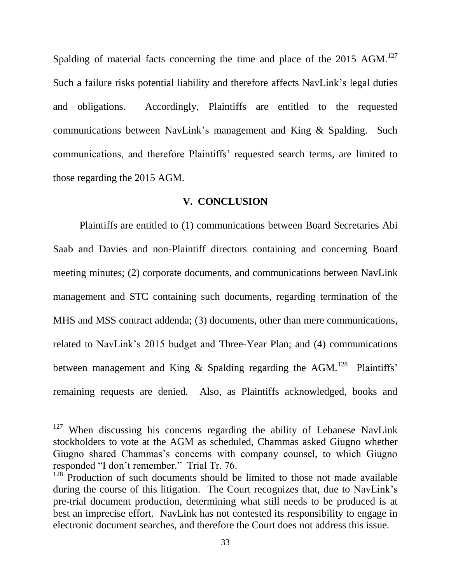Spalding of material facts concerning the time and place of the  $2015$  AGM.<sup>127</sup> Such a failure risks potential liability and therefore affects NavLink's legal duties and obligations. Accordingly, Plaintiffs are entitled to the requested communications between NavLink's management and King & Spalding. Such communications, and therefore Plaintiffs' requested search terms, are limited to those regarding the 2015 AGM.

#### **V. CONCLUSION**

Plaintiffs are entitled to (1) communications between Board Secretaries Abi Saab and Davies and non-Plaintiff directors containing and concerning Board meeting minutes; (2) corporate documents, and communications between NavLink management and STC containing such documents, regarding termination of the MHS and MSS contract addenda; (3) documents, other than mere communications, related to NavLink's 2015 budget and Three-Year Plan; and (4) communications between management and King & Spalding regarding the AGM.<sup>128</sup> Plaintiffs' remaining requests are denied. Also, as Plaintiffs acknowledged, books and

 $127$  When discussing his concerns regarding the ability of Lebanese NavLink stockholders to vote at the AGM as scheduled, Chammas asked Giugno whether Giugno shared Chammas's concerns with company counsel, to which Giugno responded "I don't remember." Trial Tr. 76.

 $128$  Production of such documents should be limited to those not made available during the course of this litigation. The Court recognizes that, due to NavLink's pre-trial document production, determining what still needs to be produced is at best an imprecise effort. NavLink has not contested its responsibility to engage in electronic document searches, and therefore the Court does not address this issue.